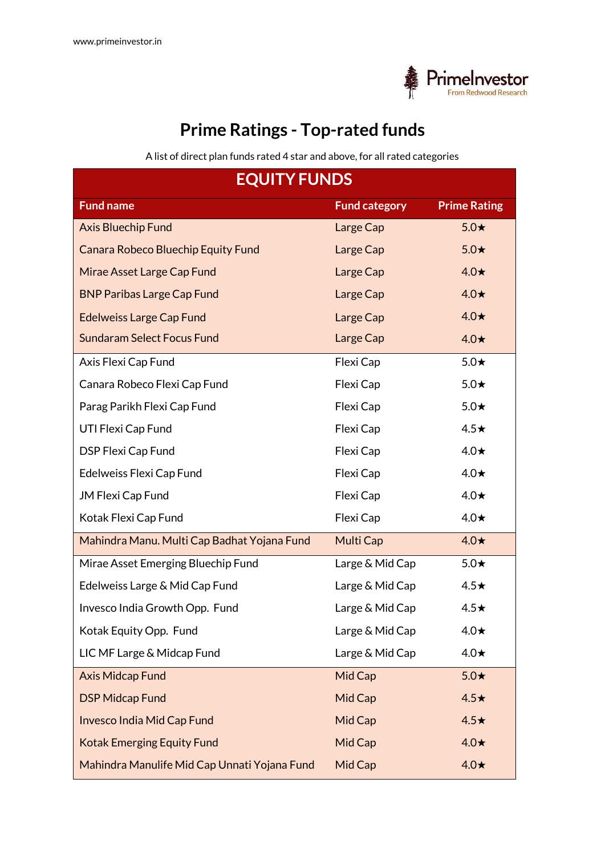

## **Prime Ratings - Top-rated funds**

A list of direct plan funds rated 4 star and above, for all rated categories

| <b>EQUITY FUNDS</b>                          |                      |                     |  |
|----------------------------------------------|----------------------|---------------------|--|
| <b>Fund name</b>                             | <b>Fund category</b> | <b>Prime Rating</b> |  |
| <b>Axis Bluechip Fund</b>                    | Large Cap            | $5.0\star$          |  |
| Canara Robeco Bluechip Equity Fund           | Large Cap            | $5.0\star$          |  |
| Mirae Asset Large Cap Fund                   | Large Cap            | $4.0\star$          |  |
| <b>BNP Paribas Large Cap Fund</b>            | Large Cap            | $4.0\star$          |  |
| <b>Edelweiss Large Cap Fund</b>              | Large Cap            | $4.0\star$          |  |
| <b>Sundaram Select Focus Fund</b>            | Large Cap            | $4.0\star$          |  |
| Axis Flexi Cap Fund                          | Flexi Cap            | $5.0\star$          |  |
| Canara Robeco Flexi Cap Fund                 | Flexi Cap            | $5.0\star$          |  |
| Parag Parikh Flexi Cap Fund                  | Flexi Cap            | $5.0\star$          |  |
| UTI Flexi Cap Fund                           | Flexi Cap            | $4.5\star$          |  |
| <b>DSP Flexi Cap Fund</b>                    | Flexi Cap            | $4.0\star$          |  |
| Edelweiss Flexi Cap Fund                     | Flexi Cap            | $4.0\star$          |  |
| JM Flexi Cap Fund                            | Flexi Cap            | $4.0\star$          |  |
| Kotak Flexi Cap Fund                         | Flexi Cap            | $4.0\star$          |  |
| Mahindra Manu. Multi Cap Badhat Yojana Fund  | Multi Cap            | $4.0\star$          |  |
| Mirae Asset Emerging Bluechip Fund           | Large & Mid Cap      | $5.0\star$          |  |
| Edelweiss Large & Mid Cap Fund               | Large & Mid Cap      | $4.5\star$          |  |
| Invesco India Growth Opp. Fund               | Large & Mid Cap      | $4.5\star$          |  |
| Kotak Equity Opp. Fund                       | Large & Mid Cap      | $4.0\star$          |  |
| LIC MF Large & Midcap Fund                   | Large & Mid Cap      | $4.0\star$          |  |
| <b>Axis Midcap Fund</b>                      | Mid Cap              | $5.0\star$          |  |
| <b>DSP Midcap Fund</b>                       | Mid Cap              | $4.5\star$          |  |
| <b>Invesco India Mid Cap Fund</b>            | Mid Cap              | $4.5\star$          |  |
| <b>Kotak Emerging Equity Fund</b>            | Mid Cap              | $4.0\star$          |  |
| Mahindra Manulife Mid Cap Unnati Yojana Fund | Mid Cap              | $4.0\star$          |  |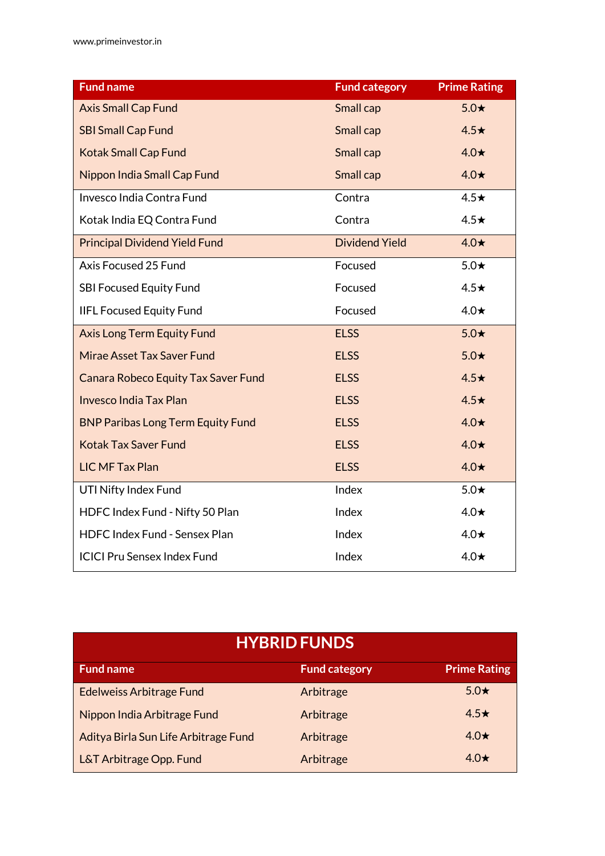| <b>Fund name</b>                           | <b>Fund category</b>  | <b>Prime Rating</b> |
|--------------------------------------------|-----------------------|---------------------|
| <b>Axis Small Cap Fund</b>                 | Small cap             | $5.0\star$          |
| <b>SBI Small Cap Fund</b>                  | Small cap             | $4.5\star$          |
| <b>Kotak Small Cap Fund</b>                | Small cap             | $4.0\star$          |
| Nippon India Small Cap Fund                | Small cap             | $4.0\star$          |
| Invesco India Contra Fund                  | Contra                | $4.5\star$          |
| Kotak India EQ Contra Fund                 | Contra                | $4.5\star$          |
| <b>Principal Dividend Yield Fund</b>       | <b>Dividend Yield</b> | $4.0\star$          |
| Axis Focused 25 Fund                       | Focused               | $5.0\star$          |
| <b>SBI Focused Equity Fund</b>             | Focused               | $4.5\star$          |
| <b>IIFL Focused Equity Fund</b>            | Focused               | $4.0\star$          |
| <b>Axis Long Term Equity Fund</b>          | <b>ELSS</b>           | $5.0\star$          |
| Mirae Asset Tax Saver Fund                 | <b>ELSS</b>           | $5.0\star$          |
| <b>Canara Robeco Equity Tax Saver Fund</b> | <b>ELSS</b>           | $4.5\star$          |
| <b>Invesco India Tax Plan</b>              | <b>ELSS</b>           | $4.5\star$          |
| <b>BNP Paribas Long Term Equity Fund</b>   | <b>ELSS</b>           | $4.0\star$          |
| <b>Kotak Tax Saver Fund</b>                | <b>ELSS</b>           | $4.0\star$          |
| <b>LIC MF Tax Plan</b>                     | <b>ELSS</b>           | $4.0\star$          |
| UTI Nifty Index Fund                       | Index                 | $5.0\star$          |
| HDFC Index Fund - Nifty 50 Plan            | Index                 | $4.0\star$          |
| <b>HDFC Index Fund - Sensex Plan</b>       | Index                 | $4.0\star$          |
| <b>ICICI Pru Sensex Index Fund</b>         | Index                 | $4.0\star$          |

| <b>HYBRID FUNDS</b>                  |                      |                     |  |
|--------------------------------------|----------------------|---------------------|--|
| <b>Fund name</b>                     | <b>Fund category</b> | <b>Prime Rating</b> |  |
| <b>Edelweiss Arbitrage Fund</b>      | Arbitrage            | $5.0\star$          |  |
| Nippon India Arbitrage Fund          | Arbitrage            | $4.5\star$          |  |
| Aditya Birla Sun Life Arbitrage Fund | Arbitrage            | $4.0\star$          |  |
| L&T Arbitrage Opp. Fund              | Arbitrage            | $4.0\star$          |  |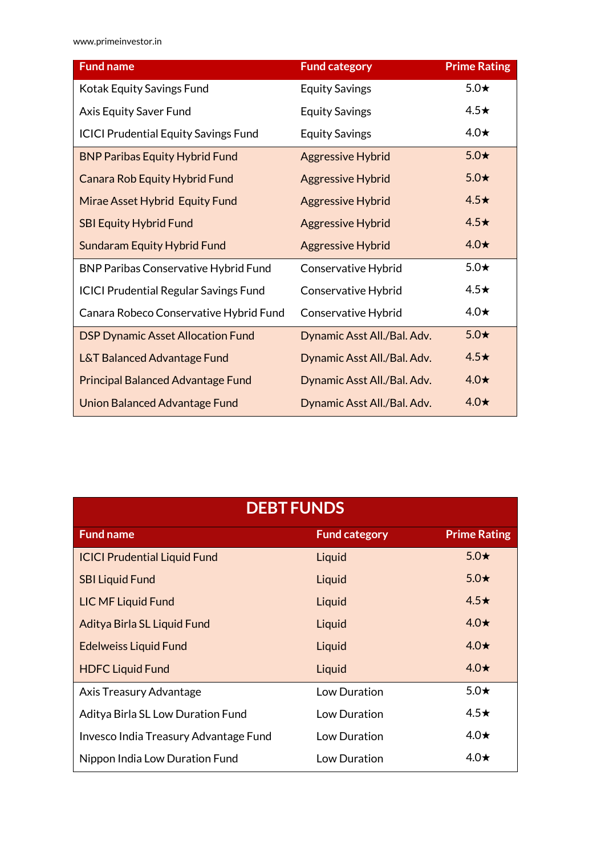www.primeinvestor.in

| <b>Fund name</b>                             | <b>Fund category</b>        | <b>Prime Rating</b> |
|----------------------------------------------|-----------------------------|---------------------|
| Kotak Equity Savings Fund                    | <b>Equity Savings</b>       | $5.0\star$          |
| Axis Equity Saver Fund                       | <b>Equity Savings</b>       | $4.5\star$          |
| <b>ICICI Prudential Equity Savings Fund</b>  | <b>Equity Savings</b>       | $4.0\star$          |
| <b>BNP Paribas Equity Hybrid Fund</b>        | <b>Aggressive Hybrid</b>    | $5.0\star$          |
| Canara Rob Equity Hybrid Fund                | <b>Aggressive Hybrid</b>    | $5.0\star$          |
| Mirae Asset Hybrid Equity Fund               | <b>Aggressive Hybrid</b>    | $4.5\star$          |
| <b>SBI Equity Hybrid Fund</b>                | <b>Aggressive Hybrid</b>    | $4.5\star$          |
| <b>Sundaram Equity Hybrid Fund</b>           | <b>Aggressive Hybrid</b>    | $4.0\star$          |
| <b>BNP Paribas Conservative Hybrid Fund</b>  | Conservative Hybrid         | $5.0\star$          |
| <b>ICICI Prudential Regular Savings Fund</b> | Conservative Hybrid         | $4.5\star$          |
| Canara Robeco Conservative Hybrid Fund       | Conservative Hybrid         | $4.0\star$          |
| <b>DSP Dynamic Asset Allocation Fund</b>     | Dynamic Asst All./Bal. Adv. | $5.0\star$          |
| L&T Balanced Advantage Fund                  | Dynamic Asst All./Bal. Adv. | $4.5\star$          |
| <b>Principal Balanced Advantage Fund</b>     | Dynamic Asst All./Bal. Adv. | $4.0\star$          |
| <b>Union Balanced Advantage Fund</b>         | Dynamic Asst All./Bal. Adv. | $4.0\star$          |

| <b>DEBT FUNDS</b>                     |                      |                     |
|---------------------------------------|----------------------|---------------------|
| <b>Fund name</b>                      | <b>Fund category</b> | <b>Prime Rating</b> |
| <b>ICICI Prudential Liquid Fund</b>   | Liquid               | $5.0\star$          |
| <b>SBI Liquid Fund</b>                | Liquid               | $5.0\star$          |
| LIC MF Liquid Fund                    | Liquid               | $4.5\star$          |
| Aditya Birla SL Liquid Fund           | Liquid               | $4.0\star$          |
| <b>Edelweiss Liquid Fund</b>          | Liquid               | $4.0\star$          |
| <b>HDFC Liquid Fund</b>               | Liquid               | $4.0\star$          |
| Axis Treasury Advantage               | Low Duration         | $5.0\star$          |
| Aditya Birla SL Low Duration Fund     | Low Duration         | $4.5\star$          |
| Invesco India Treasury Advantage Fund | Low Duration         | $4.0\star$          |
| Nippon India Low Duration Fund        | Low Duration         | $4.0\star$          |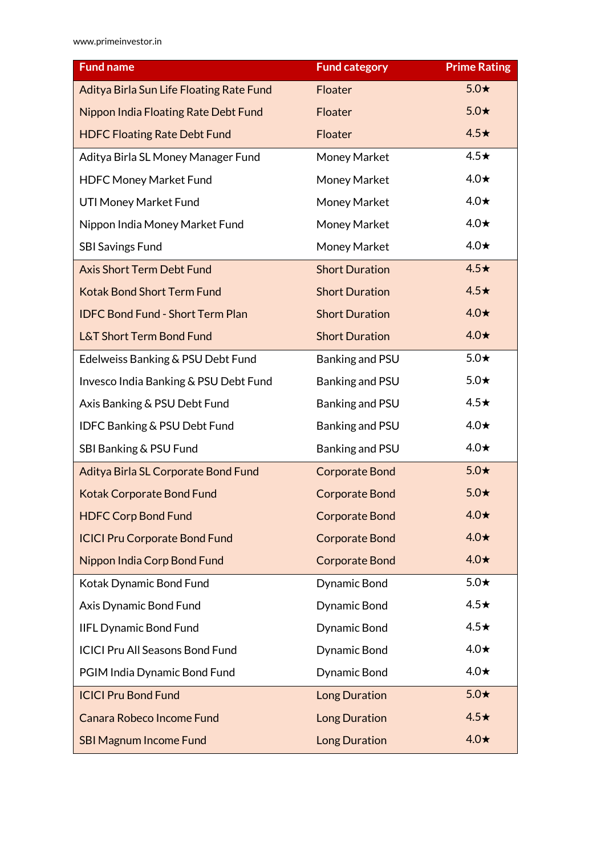## www.primeinvestor.in

| <b>Fund name</b>                         | <b>Fund category</b>   | <b>Prime Rating</b> |
|------------------------------------------|------------------------|---------------------|
| Aditya Birla Sun Life Floating Rate Fund | Floater                | $5.0\star$          |
| Nippon India Floating Rate Debt Fund     | Floater                | $5.0\star$          |
| <b>HDFC Floating Rate Debt Fund</b>      | Floater                | $4.5\star$          |
| Aditya Birla SL Money Manager Fund       | Money Market           | $4.5\star$          |
| <b>HDFC Money Market Fund</b>            | Money Market           | $4.0\star$          |
| <b>UTI Money Market Fund</b>             | Money Market           | $4.0\star$          |
| Nippon India Money Market Fund           | Money Market           | $4.0\star$          |
| <b>SBI Savings Fund</b>                  | Money Market           | $4.0\star$          |
| <b>Axis Short Term Debt Fund</b>         | <b>Short Duration</b>  | $4.5\star$          |
| <b>Kotak Bond Short Term Fund</b>        | <b>Short Duration</b>  | $4.5\star$          |
| <b>IDFC Bond Fund - Short Term Plan</b>  | <b>Short Duration</b>  | $4.0\star$          |
| <b>L&amp;T Short Term Bond Fund</b>      | <b>Short Duration</b>  | $4.0\star$          |
| Edelweiss Banking & PSU Debt Fund        | Banking and PSU        | $5.0\star$          |
| Invesco India Banking & PSU Debt Fund    | Banking and PSU        | $5.0\star$          |
| Axis Banking & PSU Debt Fund             | Banking and PSU        | $4.5\star$          |
| <b>IDFC Banking &amp; PSU Debt Fund</b>  | <b>Banking and PSU</b> | $4.0\star$          |
| SBI Banking & PSU Fund                   | Banking and PSU        | $4.0\star$          |
| Aditya Birla SL Corporate Bond Fund      | <b>Corporate Bond</b>  | $5.0\star$          |
| <b>Kotak Corporate Bond Fund</b>         | <b>Corporate Bond</b>  | $5.0\star$          |
| <b>HDFC Corp Bond Fund</b>               | <b>Corporate Bond</b>  | $4.0\star$          |
| <b>ICICI Pru Corporate Bond Fund</b>     | <b>Corporate Bond</b>  | $4.0\star$          |
| Nippon India Corp Bond Fund              | <b>Corporate Bond</b>  | $4.0\star$          |
| Kotak Dynamic Bond Fund                  | Dynamic Bond           | $5.0\star$          |
| Axis Dynamic Bond Fund                   | Dynamic Bond           | $4.5\star$          |
| <b>IIFL Dynamic Bond Fund</b>            | Dynamic Bond           | $4.5\star$          |
| <b>ICICI Pru All Seasons Bond Fund</b>   | Dynamic Bond           | $4.0\star$          |
| PGIM India Dynamic Bond Fund             | Dynamic Bond           | $4.0\star$          |
| <b>ICICI Pru Bond Fund</b>               | <b>Long Duration</b>   | $5.0\star$          |
| Canara Robeco Income Fund                | Long Duration          | $4.5\star$          |
| <b>SBI Magnum Income Fund</b>            | Long Duration          | $4.0\star$          |